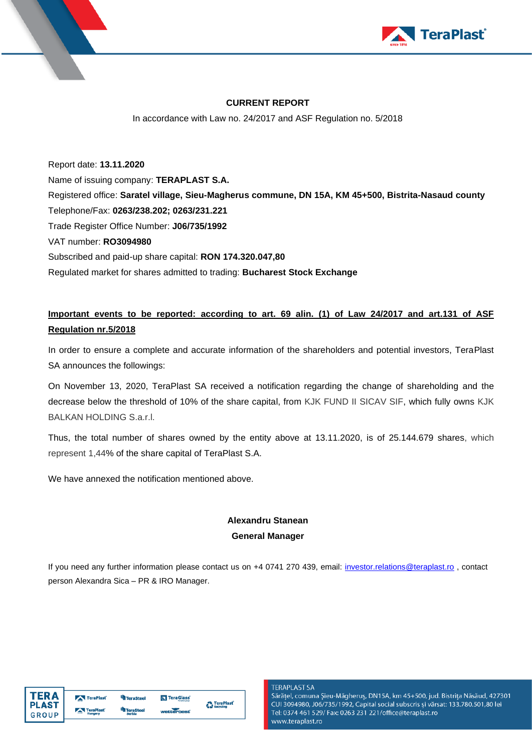



## **CURRENT REPORT**

In accordance with Law no. 24/2017 and ASF Regulation no. 5/2018

Report date: **13.11.2020** Name of issuing company: **TERAPLAST S.A.** Registered office: **Saratel village, Sieu-Magherus commune, DN 15A, KM 45+500, Bistrita-Nasaud county** Telephone/Fax: **0263/238.202; 0263/231.221** Trade Register Office Number: **J06/735/1992** VAT number: **RO3094980** Subscribed and paid-up share capital: **RON 174.320.047,80** Regulated market for shares admitted to trading: **Bucharest Stock Exchange**

## **Important events to be reported: according to art. 69 alin. (1) of Law 24/2017 and art.131 of ASF Regulation nr.5/2018**

In order to ensure a complete and accurate information of the shareholders and potential investors, TeraPlast SA announces the followings:

On November 13, 2020, TeraPlast SA received a notification regarding the change of shareholding and the decrease below the threshold of 10% of the share capital, from KJK FUND II SICAV SIF, which fully owns KJK BALKAN HOLDING S.a.r.l.

Thus, the total number of shares owned by the entity above at 13.11.2020, is of 25.144.679 shares, which represent 1,44% of the share capital of TeraPlast S.A.

We have annexed the notification mentioned above.

## **Alexandru Stanean General Manager**

If you need any further information please contact us on +4 0741 270 439, email: [investor.relations@teraplast.ro](mailto:investor.relations@teraplast.ro), contact person Alexandra Sica – PR & IRO Manager.

| <b>TFRA</b>  | TeraPlast | <b>TeraSteel</b> | TeraGlass  | <b>A</b> TeraPlast |
|--------------|-----------|------------------|------------|--------------------|
| <b>PLAST</b> |           | <b>TeraSteel</b> |            | <b>Recycling</b>   |
| GROUP        | TeraPlast | Serbia           | wetterheat |                    |

**TERAPLAST SA** 

Sărățel, comuna Șieu-Măgheruș, DN15A, km 45+500, jud. Bistrița Năsăud, 427301 CUI 3094980, J06/735/1992, Capital social subscris și vărsat: 133.780.501,80 lei Tel: 0374 461 529/ Fax: 0263 231 221/office@teraplast.ro www.teraplast.ro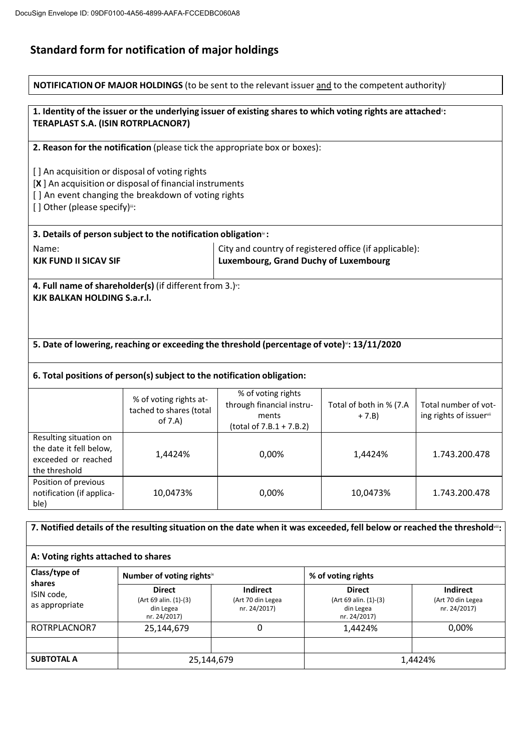## **Standard form for notification of major holdings**

|                                                                                                                                     |                                                                                                                                                                    |                                                                                      | <b>NOTIFICATION OF MAJOR HOLDINGS</b> (to be sent to the relevant issuer and to the competent authority)    |                                                 |  |  |
|-------------------------------------------------------------------------------------------------------------------------------------|--------------------------------------------------------------------------------------------------------------------------------------------------------------------|--------------------------------------------------------------------------------------|-------------------------------------------------------------------------------------------------------------|-------------------------------------------------|--|--|
| <b>TERAPLAST S.A. (ISIN ROTRPLACNOR7)</b>                                                                                           |                                                                                                                                                                    |                                                                                      | 1. Identity of the issuer or the underlying issuer of existing shares to which voting rights are attached": |                                                 |  |  |
|                                                                                                                                     | 2. Reason for the notification (please tick the appropriate box or boxes):                                                                                         |                                                                                      |                                                                                                             |                                                 |  |  |
| [] Other (please specify)":                                                                                                         | [] An acquisition or disposal of voting rights<br>$[X]$ An acquisition or disposal of financial instruments<br>[] An event changing the breakdown of voting rights |                                                                                      |                                                                                                             |                                                 |  |  |
|                                                                                                                                     | 3. Details of person subject to the notification obligation <sup>®</sup> :                                                                                         |                                                                                      |                                                                                                             |                                                 |  |  |
| Name:                                                                                                                               | City and country of registered office (if applicable):<br>Luxembourg, Grand Duchy of Luxembourg<br><b>KJK FUND II SICAV SIF</b>                                    |                                                                                      |                                                                                                             |                                                 |  |  |
| KJK BALKAN HOLDING S.a.r.l.                                                                                                         | 4. Full name of shareholder(s) (if different from 3.) ::                                                                                                           |                                                                                      |                                                                                                             |                                                 |  |  |
|                                                                                                                                     | 5. Date of lowering, reaching or exceeding the threshold (percentage of vote) : 13/11/2020                                                                         |                                                                                      |                                                                                                             |                                                 |  |  |
|                                                                                                                                     | 6. Total positions of person(s) subject to the notification obligation:                                                                                            |                                                                                      |                                                                                                             |                                                 |  |  |
|                                                                                                                                     | % of voting rights at-<br>tached to shares (total<br>of 7.A)                                                                                                       | % of voting rights<br>through financial instru-<br>ments<br>(total of 7.B.1 + 7.B.2) | Total of both in % (7.A<br>$+ 7. B)$                                                                        | Total number of vot-<br>ing rights of issuervii |  |  |
| Resulting situation on<br>the date it fell below,<br>exceeded or reached<br>the threshold                                           | 1,4424%                                                                                                                                                            | 0,00%                                                                                | 1,4424%                                                                                                     | 1.743.200.478                                   |  |  |
| Position of previous<br>notification (if applica-<br>ble)                                                                           | 10,0473%                                                                                                                                                           | 0,00%                                                                                | 10,0473%                                                                                                    | 1.743.200.478                                   |  |  |
| 7. Notified details of the resulting situation on the date when it was exceeded, fell below or reached the threshold <sup>®</sup> : |                                                                                                                                                                    |                                                                                      |                                                                                                             |                                                 |  |  |
| A: Voting rights attached to shares                                                                                                 |                                                                                                                                                                    |                                                                                      |                                                                                                             |                                                 |  |  |
| Class/type of                                                                                                                       | Number of voting rightsix                                                                                                                                          | % of voting rights                                                                   |                                                                                                             |                                                 |  |  |
| shares<br>ISIN code,<br>as appropriate                                                                                              | <b>Direct</b><br>(Art 69 alin. (1)-(3)<br>din Legea<br>nr. 24/2017)                                                                                                | Indirect<br>(Art 70 din Legea<br>nr. 24/2017)                                        | <b>Direct</b><br>(Art 69 alin. (1)-(3)<br>din Legea<br>nr. 24/2017)                                         | Indirect<br>(Art 70 din Legea<br>nr. 24/2017)   |  |  |
| ROTRPLACNOR7                                                                                                                        | 25,144,679                                                                                                                                                         | $\mathbf 0$                                                                          | 1,4424%                                                                                                     | 0,00%                                           |  |  |
| <b>SUBTOTAL A</b>                                                                                                                   | 25,144,679                                                                                                                                                         |                                                                                      |                                                                                                             | 1,4424%                                         |  |  |